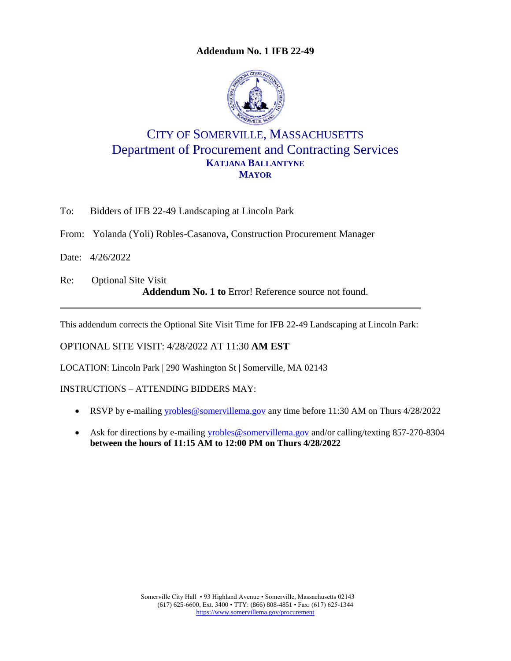**Addendum No. 1 IFB 22-49**



## CITY OF SOMERVILLE, MASSACHUSETTS Department of Procurement and Contracting Services **KATJANA BALLANTYNE MAYOR**

To: Bidders of IFB 22-49 Landscaping at Lincoln Park

From: Yolanda (Yoli) Robles-Casanova, Construction Procurement Manager

Date: 4/26/2022

Re: Optional Site Visit **Addendum No. 1 to** Error! Reference source not found.

This addendum corrects the Optional Site Visit Time for IFB 22-49 Landscaping at Lincoln Park:

OPTIONAL SITE VISIT: 4/28/2022 AT 11:30 **AM EST**

LOCATION: Lincoln Park | 290 Washington St | Somerville, MA 02143

INSTRUCTIONS – ATTENDING BIDDERS MAY:

- RSVP by e-mailing [yrobles@somervillema.gov](mailto:yrobles@somervillema.gov) any time before 11:30 AM on Thurs 4/28/2022
- Ask for directions by e-mailing [yrobles@somervillema.gov](mailto:yrobles@somervillema.gov) and/or calling/texting 857-270-8304 **between the hours of 11:15 AM to 12:00 PM on Thurs 4/28/2022**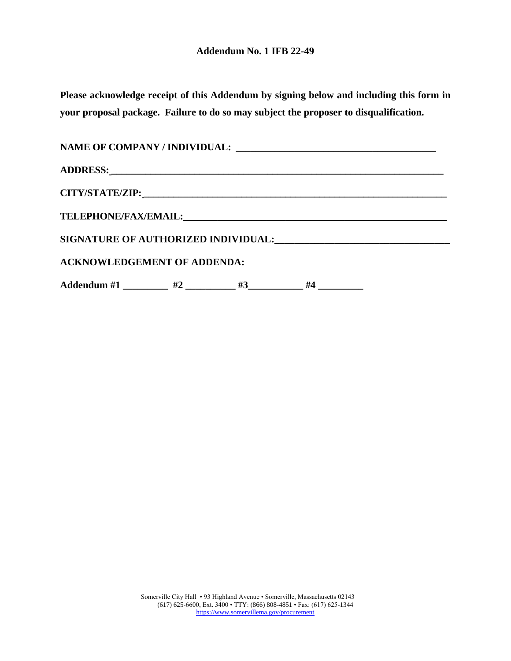**Please acknowledge receipt of this Addendum by signing below and including this form in your proposal package. Failure to do so may subject the proposer to disqualification.**

| <b>ACKNOWLEDGEMENT OF ADDENDA:</b>                          |  |  |  |
|-------------------------------------------------------------|--|--|--|
| Addendum #1 _________ #2 _________ #3_________ #4 _________ |  |  |  |